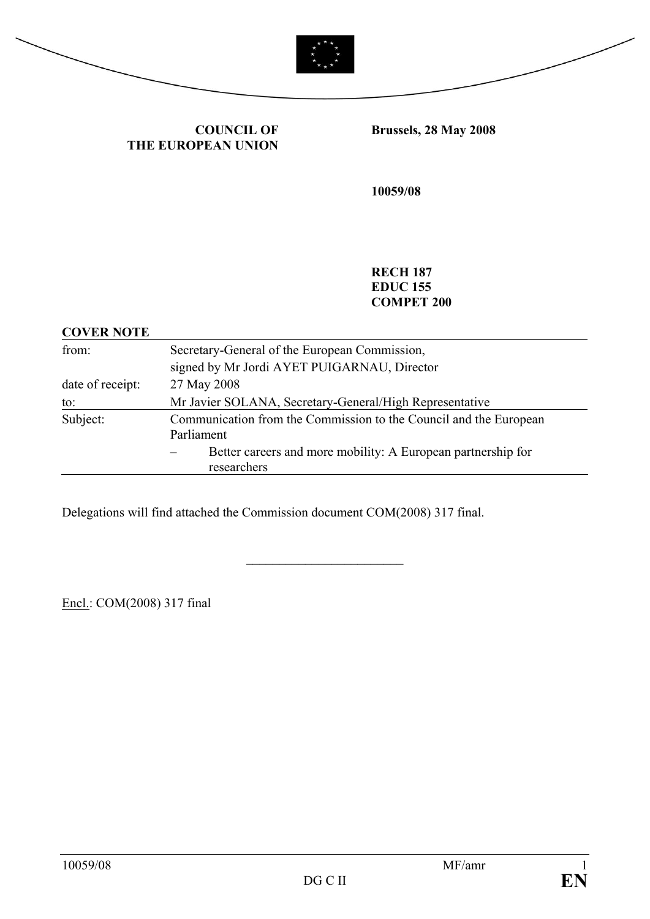



**COUNCIL OF THE EUROPEAN UNION** **Brussels, 28 May 2008** 

**10059/08** 

**RECH 187 EDUC 155 COMPET 200** 

| <b>COVER NOTE</b> |                                                                   |
|-------------------|-------------------------------------------------------------------|
| from:             | Secretary-General of the European Commission,                     |
|                   | signed by Mr Jordi AYET PUIGARNAU, Director                       |
| date of receipt:  | 27 May 2008                                                       |
| to:               | Mr Javier SOLANA, Secretary-General/High Representative           |
| Subject:          | Communication from the Commission to the Council and the European |
|                   | Parliament                                                        |
|                   | Better careers and more mobility: A European partnership for      |
|                   | researchers                                                       |

\_\_\_\_\_\_\_\_\_\_\_\_\_\_\_\_\_\_\_\_\_\_\_\_

Delegations will find attached the Commission document COM(2008) 317 final.

Encl.: COM(2008) 317 final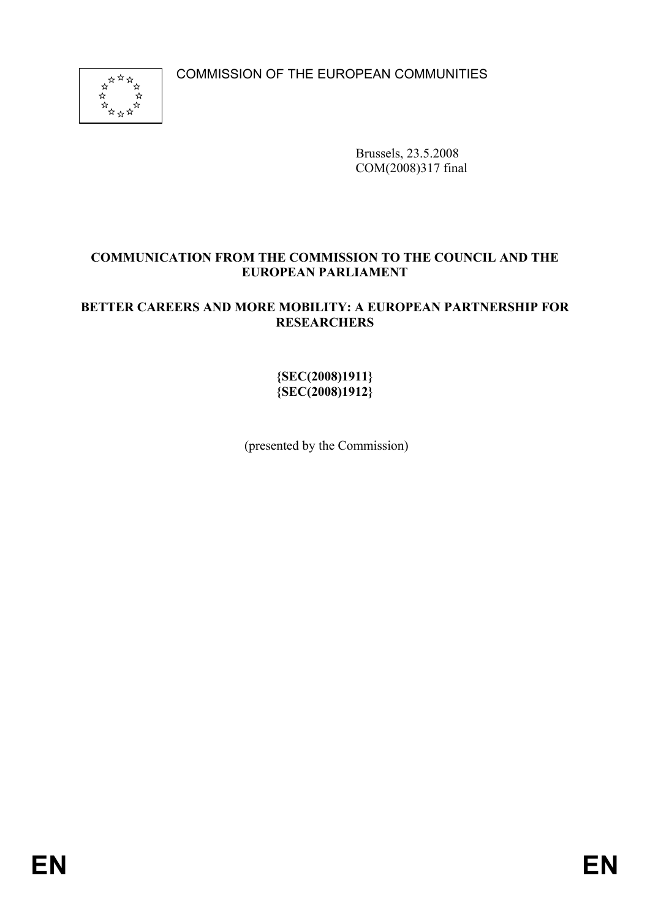COMMISSION OF THE EUROPEAN COMMUNITIES



Brussels, 23.5.2008 COM(2008)317 final

### **COMMUNICATION FROM THE COMMISSION TO THE COUNCIL AND THE EUROPEAN PARLIAMENT**

### **BETTER CAREERS AND MORE MOBILITY: A EUROPEAN PARTNERSHIP FOR RESEARCHERS**

### **{SEC(2008)1911} {SEC(2008)1912}**

(presented by the Commission)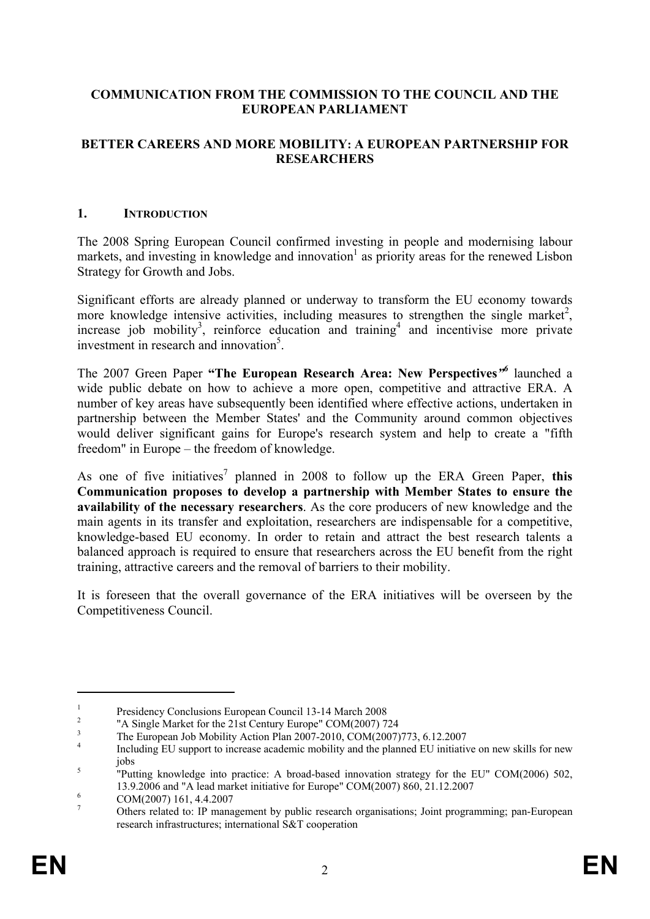### **COMMUNICATION FROM THE COMMISSION TO THE COUNCIL AND THE EUROPEAN PARLIAMENT**

#### **BETTER CAREERS AND MORE MOBILITY: A EUROPEAN PARTNERSHIP FOR RESEARCHERS**

#### **1. INTRODUCTION**

The 2008 Spring European Council confirmed investing in people and modernising labour markets, and investing in knowledge and innovation<sup>1</sup> as priority areas for the renewed Lisbon Strategy for Growth and Jobs.

Significant efforts are already planned or underway to transform the EU economy towards more knowledge intensive activities, including measures to strengthen the single market<sup>2</sup>, increase job mobility<sup>3</sup>, reinforce education and training<sup>4</sup> and incentivise more private investment in research and innovation<sup>5</sup>.

The 2007 Green Paper **"The European Research Area: New Perspectives***"6* launched a wide public debate on how to achieve a more open, competitive and attractive ERA. A number of key areas have subsequently been identified where effective actions, undertaken in partnership between the Member States' and the Community around common objectives would deliver significant gains for Europe's research system and help to create a "fifth freedom" in Europe – the freedom of knowledge.

As one of five initiatives<sup>7</sup> planned in 2008 to follow up the ERA Green Paper, this **Communication proposes to develop a partnership with Member States to ensure the availability of the necessary researchers**. As the core producers of new knowledge and the main agents in its transfer and exploitation, researchers are indispensable for a competitive, knowledge-based EU economy. In order to retain and attract the best research talents a balanced approach is required to ensure that researchers across the EU benefit from the right training, attractive careers and the removal of barriers to their mobility.

It is foreseen that the overall governance of the ERA initiatives will be overseen by the Competitiveness Council.

1

<sup>1</sup> Presidency Conclusions European Council 13-14 March 2008

<sup>2</sup> "A Single Market for the 21st Century Europe" COM(2007) 724

<sup>3</sup> The European Job Mobility Action Plan 2007-2010, COM(2007)773, 6.12.2007

<sup>4</sup> Including EU support to increase academic mobility and the planned EU initiative on new skills for new  $\frac{1}{5}$   $\frac{1}{10}$ 

 <sup>&</sup>quot;Putting knowledge into practice: A broad-based innovation strategy for the EU" COM(2006) 502, 13.9.2006 and "A lead market initiative for Europe" COM(2007) 860, 21.12.2007

COM(2007) 161, 4.4.2007

<sup>7</sup> Others related to: IP management by public research organisations; Joint programming; pan-European research infrastructures; international S&T cooperation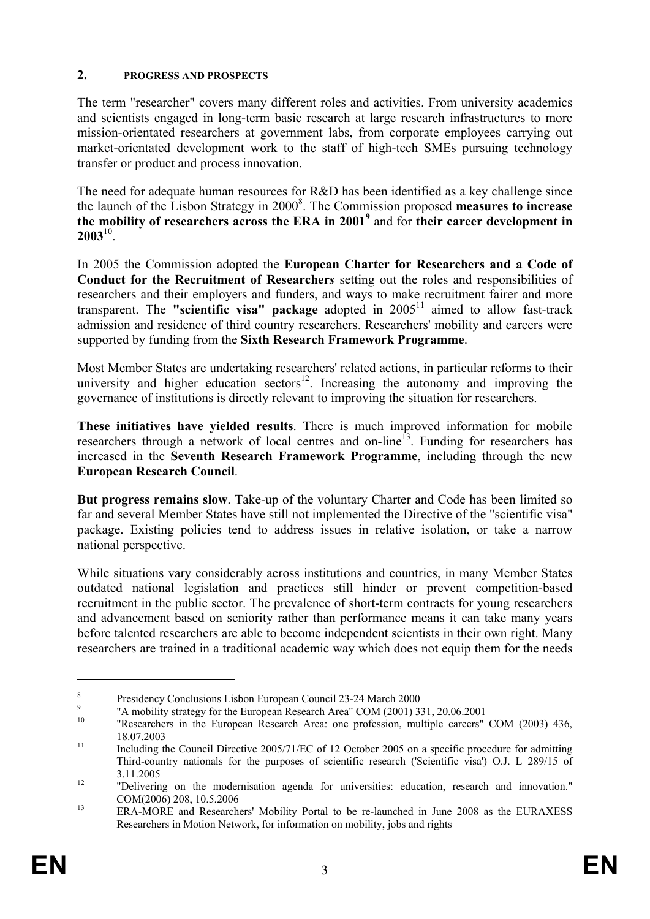#### **2. PROGRESS AND PROSPECTS**

The term "researcher" covers many different roles and activities. From university academics and scientists engaged in long-term basic research at large research infrastructures to more mission-orientated researchers at government labs, from corporate employees carrying out market-orientated development work to the staff of high-tech SMEs pursuing technology transfer or product and process innovation.

The need for adequate human resources for R&D has been identified as a key challenge since the launch of the Lisbon Strategy in 2000<sup>8</sup>. The Commission proposed measures to increase **the mobility of researchers across the ERA in 20019** and for **their career development in 2003**10.

In 2005 the Commission adopted the **European Charter for Researchers and a Code of Conduct for the Recruitment of Researcher***s* setting out the roles and responsibilities of researchers and their employers and funders, and ways to make recruitment fairer and more transparent. The **"scientific visa" package** adopted in 200511 aimed to allow fast-track admission and residence of third country researchers. Researchers' mobility and careers were supported by funding from the **Sixth Research Framework Programme**.

Most Member States are undertaking researchers' related actions, in particular reforms to their university and higher education sectors<sup>12</sup>. Increasing the autonomy and improving the governance of institutions is directly relevant to improving the situation for researchers.

**These initiatives have yielded results**. There is much improved information for mobile researchers through a network of local centres and on-line<sup>13</sup>. Funding for researchers has increased in the **Seventh Research Framework Programme**, including through the new **European Research Council**.

**But progress remains slow**. Take-up of the voluntary Charter and Code has been limited so far and several Member States have still not implemented the Directive of the "scientific visa" package. Existing policies tend to address issues in relative isolation, or take a narrow national perspective.

While situations vary considerably across institutions and countries, in many Member States outdated national legislation and practices still hinder or prevent competition-based recruitment in the public sector. The prevalence of short-term contracts for young researchers and advancement based on seniority rather than performance means it can take many years before talented researchers are able to become independent scientists in their own right. Many researchers are trained in a traditional academic way which does not equip them for the needs

<u>.</u>

<sup>8</sup> 9

Presidency Conclusions Lisbon European Council 23-24 March 2000<br>"A mobility strategy for the European Research Area" COM (2001) 331, 20.06.2001

<sup>&</sup>lt;sup>10</sup> "Researchers in the European Research Area: one profession, multiple careers" COM (2003) 436, 18.07.2003<br>Including the Council Directive 2005/71/EC of 12 October 2005 on a specific procedure for admitting

Third-country nationals for the purposes of scientific research ('Scientific visa') O.J. L 289/15 of 3.11.2005 12 "Delivering on the modernisation agenda for universities: education, research and innovation."

COM(2006) 208, 10.5.2006<br><sup>13</sup> ERA-MORE and Researchers' Mobility Portal to be re-launched in June 2008 as the EURAXESS Researchers in Motion Network, for information on mobility, jobs and rights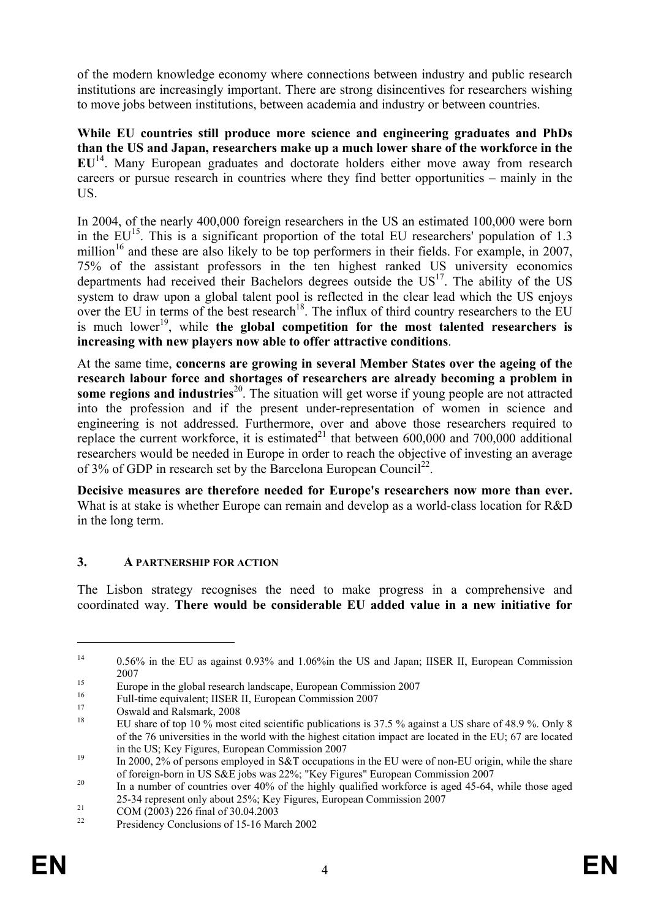of the modern knowledge economy where connections between industry and public research institutions are increasingly important. There are strong disincentives for researchers wishing to move jobs between institutions, between academia and industry or between countries.

**While EU countries still produce more science and engineering graduates and PhDs than the US and Japan, researchers make up a much lower share of the workforce in the EU**14. Many European graduates and doctorate holders either move away from research careers or pursue research in countries where they find better opportunities – mainly in the US.

In 2004, of the nearly 400,000 foreign researchers in the US an estimated 100,000 were born in the  $EU^{15}$ . This is a significant proportion of the total EU researchers' population of 1.3 million<sup>16</sup> and these are also likely to be top performers in their fields. For example, in 2007, 75% of the assistant professors in the ten highest ranked US university economics departments had received their Bachelors degrees outside the  $US<sup>17</sup>$ . The ability of the US system to draw upon a global talent pool is reflected in the clear lead which the US enjoys over the EU in terms of the best research<sup>18</sup>. The influx of third country researchers to the EU is much lower<sup>19</sup>, while the global competition for the most talented researchers is **increasing with new players now able to offer attractive conditions**.

At the same time, **concerns are growing in several Member States over the ageing of the research labour force and shortages of researchers are already becoming a problem in some regions and industries**<sup>20</sup>. The situation will get worse if young people are not attracted into the profession and if the present under-representation of women in science and engineering is not addressed. Furthermore, over and above those researchers required to replace the current workforce, it is estimated<sup>21</sup> that between 600,000 and 700,000 additional researchers would be needed in Europe in order to reach the objective of investing an average of 3% of GDP in research set by the Barcelona European Council<sup>22</sup>.

**Decisive measures are therefore needed for Europe's researchers now more than ever.** What is at stake is whether Europe can remain and develop as a world-class location for R&D in the long term.

## **3. A PARTNERSHIP FOR ACTION**

The Lisbon strategy recognises the need to make progress in a comprehensive and coordinated way. **There would be considerable EU added value in a new initiative for** 

<u>.</u>

<sup>&</sup>lt;sup>14</sup> 0.56% in the EU as against 0.93% and 1.06%in the US and Japan; IISER II, European Commission

<sup>2007&</sup>lt;br>Europe in the global research landscape, European Commission 2007<br><sup>16</sup>

<sup>&</sup>lt;sup>16</sup> Full-time equivalent; IISER II, European Commission 2007

 $^{17}$  Oswald and Ralsmark, 2008

<sup>18</sup> EU share of top 10 % most cited scientific publications is 37.5 % against a US share of 48.9 %. Only 8 of the 76 universities in the world with the highest citation impact are located in the EU; 67 are located

in the US; Key Figures, European Commission 2007<br>In 2000, 2% of persons employed in S&T occupations in the EU were of non-EU origin, while the share<br>of foreign-born in US S&E jobs was 22%; "Key Figures" European Commission

<sup>&</sup>lt;sup>20</sup> In a number of countries over 40% of the highly qualified workforce is aged 45-64, while those aged 25-34 represent only about 25%; Key Figures, European Commission 2007<br>
COM (2003) 226 final of 30.04.2003<br>
Presidency Conclusions of 15.16 March 2002

Presidency Conclusions of 15-16 March 2002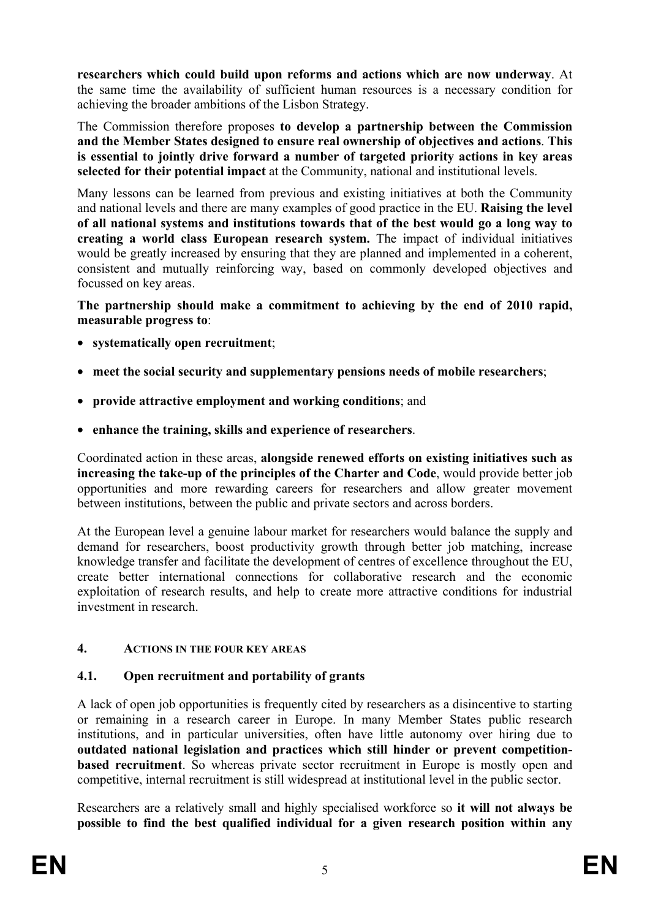**researchers which could build upon reforms and actions which are now underway**. At the same time the availability of sufficient human resources is a necessary condition for achieving the broader ambitions of the Lisbon Strategy.

The Commission therefore proposes **to develop a partnership between the Commission and the Member States designed to ensure real ownership of objectives and actions**. **This is essential to jointly drive forward a number of targeted priority actions in key areas selected for their potential impact** at the Community, national and institutional levels.

Many lessons can be learned from previous and existing initiatives at both the Community and national levels and there are many examples of good practice in the EU. **Raising the level of all national systems and institutions towards that of the best would go a long way to creating a world class European research system.** The impact of individual initiatives would be greatly increased by ensuring that they are planned and implemented in a coherent, consistent and mutually reinforcing way, based on commonly developed objectives and focussed on key areas.

**The partnership should make a commitment to achieving by the end of 2010 rapid, measurable progress to**:

- **systematically open recruitment**;
- **meet the social security and supplementary pensions needs of mobile researchers**;
- **provide attractive employment and working conditions**; and
- **enhance the training, skills and experience of researchers**.

Coordinated action in these areas, **alongside renewed efforts on existing initiatives such as increasing the take-up of the principles of the Charter and Code**, would provide better job opportunities and more rewarding careers for researchers and allow greater movement between institutions, between the public and private sectors and across borders.

At the European level a genuine labour market for researchers would balance the supply and demand for researchers, boost productivity growth through better job matching, increase knowledge transfer and facilitate the development of centres of excellence throughout the EU, create better international connections for collaborative research and the economic exploitation of research results, and help to create more attractive conditions for industrial investment in research.

#### **4. ACTIONS IN THE FOUR KEY AREAS**

## **4.1. Open recruitment and portability of grants**

A lack of open job opportunities is frequently cited by researchers as a disincentive to starting or remaining in a research career in Europe. In many Member States public research institutions, and in particular universities, often have little autonomy over hiring due to **outdated national legislation and practices which still hinder or prevent competitionbased recruitment**. So whereas private sector recruitment in Europe is mostly open and competitive, internal recruitment is still widespread at institutional level in the public sector.

Researchers are a relatively small and highly specialised workforce so **it will not always be possible to find the best qualified individual for a given research position within any**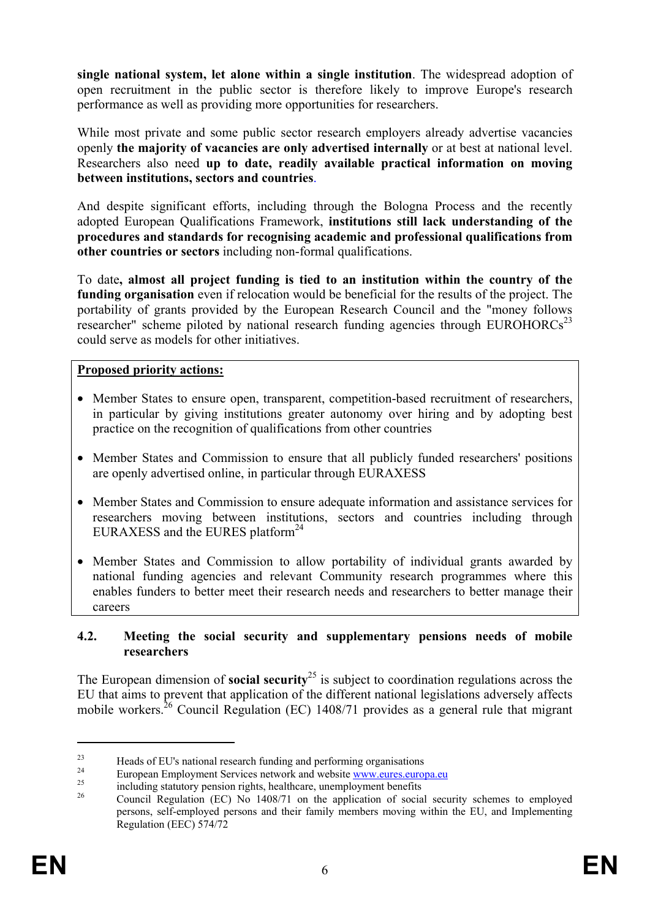**single national system, let alone within a single institution**. The widespread adoption of open recruitment in the public sector is therefore likely to improve Europe's research performance as well as providing more opportunities for researchers.

While most private and some public sector research employers already advertise vacancies openly **the majority of vacancies are only advertised internally** or at best at national level. Researchers also need **up to date, readily available practical information on moving between institutions, sectors and countries**.

And despite significant efforts, including through the Bologna Process and the recently adopted European Qualifications Framework, **institutions still lack understanding of the procedures and standards for recognising academic and professional qualifications from other countries or sectors** including non-formal qualifications.

To date**, almost all project funding is tied to an institution within the country of the funding organisation** even if relocation would be beneficial for the results of the project. The portability of grants provided by the European Research Council and the "money follows researcher" scheme piloted by national research funding agencies through EUROHORCs<sup>23</sup> could serve as models for other initiatives.

#### **Proposed priority actions:**

- Member States to ensure open, transparent, competition-based recruitment of researchers, in particular by giving institutions greater autonomy over hiring and by adopting best practice on the recognition of qualifications from other countries
- Member States and Commission to ensure that all publicly funded researchers' positions are openly advertised online, in particular through EURAXESS
- Member States and Commission to ensure adequate information and assistance services for researchers moving between institutions, sectors and countries including through EURAXESS and the EURES platform<sup>24</sup>
- Member States and Commission to allow portability of individual grants awarded by national funding agencies and relevant Community research programmes where this enables funders to better meet their research needs and researchers to better manage their careers

#### **4.2. Meeting the social security and supplementary pensions needs of mobile researchers**

The European dimension of **social security**25 is subject to coordination regulations across the EU that aims to prevent that application of the different national legislations adversely affects mobile workers.<sup>26</sup> Council Regulation (EC) 1408/71 provides as a general rule that migrant

1

<sup>&</sup>lt;sup>23</sup><br>Heads of EU's national research funding and performing organisations<br> $\frac{24}{9}$ 

<sup>&</sup>lt;sup>24</sup><br>European Employment Services network and website www.eures.europa.eu<br>including statutory pension rights, healthcare, unemployment benefits<br> $\frac{26}{2}$  Council Beaultion (EC) No. 1408/71 and the ampliontion of again se

<sup>26</sup> Council Regulation (EC) No 1408/71 on the application of social security schemes to employed persons, self-employed persons and their family members moving within the EU, and Implementing Regulation (EEC) 574/72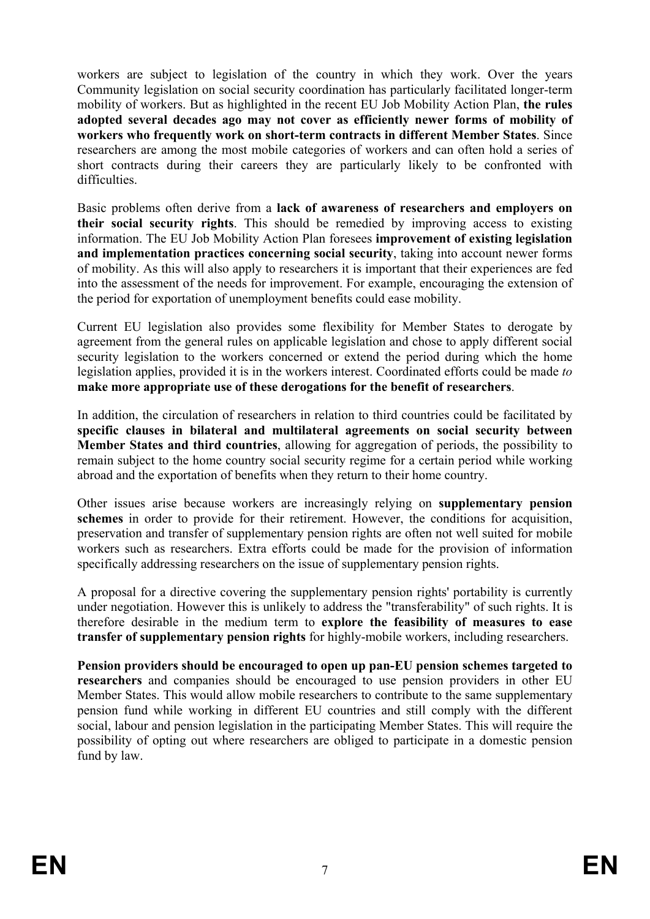workers are subject to legislation of the country in which they work. Over the years Community legislation on social security coordination has particularly facilitated longer-term mobility of workers. But as highlighted in the recent EU Job Mobility Action Plan, **the rules adopted several decades ago may not cover as efficiently newer forms of mobility of workers who frequently work on short-term contracts in different Member States**. Since researchers are among the most mobile categories of workers and can often hold a series of short contracts during their careers they are particularly likely to be confronted with difficulties.

Basic problems often derive from a **lack of awareness of researchers and employers on their social security rights**. This should be remedied by improving access to existing information. The EU Job Mobility Action Plan foresees **improvement of existing legislation and implementation practices concerning social security**, taking into account newer forms of mobility. As this will also apply to researchers it is important that their experiences are fed into the assessment of the needs for improvement. For example, encouraging the extension of the period for exportation of unemployment benefits could ease mobility.

Current EU legislation also provides some flexibility for Member States to derogate by agreement from the general rules on applicable legislation and chose to apply different social security legislation to the workers concerned or extend the period during which the home legislation applies, provided it is in the workers interest. Coordinated efforts could be made *to*  **make more appropriate use of these derogations for the benefit of researchers**.

In addition, the circulation of researchers in relation to third countries could be facilitated by **specific clauses in bilateral and multilateral agreements on social security between Member States and third countries**, allowing for aggregation of periods, the possibility to remain subject to the home country social security regime for a certain period while working abroad and the exportation of benefits when they return to their home country.

Other issues arise because workers are increasingly relying on **supplementary pension schemes** in order to provide for their retirement. However, the conditions for acquisition, preservation and transfer of supplementary pension rights are often not well suited for mobile workers such as researchers. Extra efforts could be made for the provision of information specifically addressing researchers on the issue of supplementary pension rights.

A proposal for a directive covering the supplementary pension rights' portability is currently under negotiation. However this is unlikely to address the "transferability" of such rights. It is therefore desirable in the medium term to **explore the feasibility of measures to ease transfer of supplementary pension rights** for highly-mobile workers, including researchers.

**Pension providers should be encouraged to open up pan-EU pension schemes targeted to researchers** and companies should be encouraged to use pension providers in other EU Member States. This would allow mobile researchers to contribute to the same supplementary pension fund while working in different EU countries and still comply with the different social, labour and pension legislation in the participating Member States. This will require the possibility of opting out where researchers are obliged to participate in a domestic pension fund by law.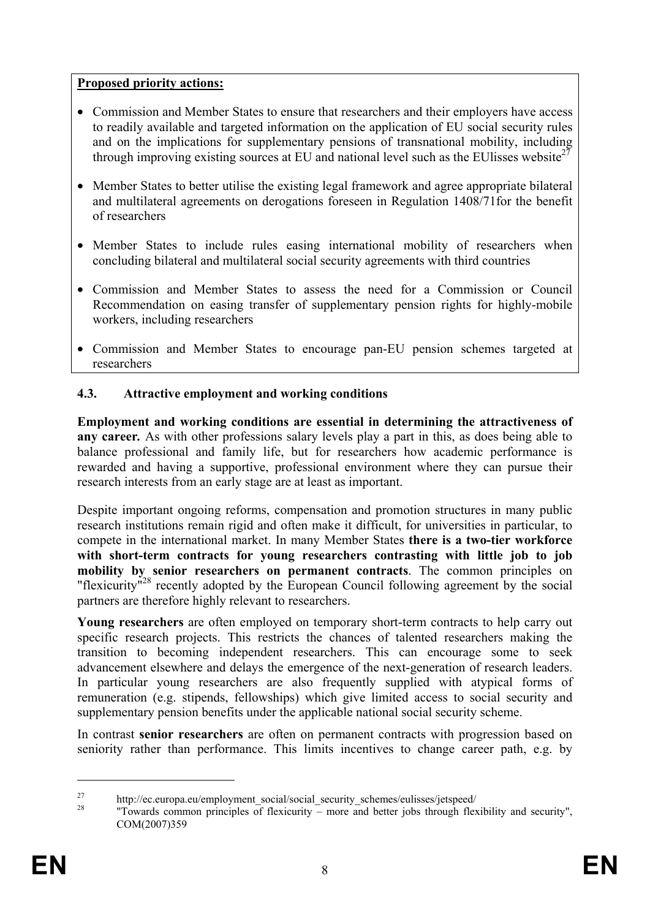## **Proposed priority actions:**

- Commission and Member States to ensure that researchers and their employers have access to readily available and targeted information on the application of EU social security rules and on the implications for supplementary pensions of transnational mobility, including through improving existing sources at EU and national level such as the EU lisses website<sup>27</sup>
- Member States to better utilise the existing legal framework and agree appropriate bilateral and multilateral agreements on derogations foreseen in Regulation 1408/71for the benefit of researchers
- Member States to include rules easing international mobility of researchers when concluding bilateral and multilateral social security agreements with third countries
- Commission and Member States to assess the need for a Commission or Council Recommendation on easing transfer of supplementary pension rights for highly-mobile workers, including researchers
- Commission and Member States to encourage pan-EU pension schemes targeted at researchers

# **4.3. Attractive employment and working conditions**

**Employment and working conditions are essential in determining the attractiveness of any career***.* As with other professions salary levels play a part in this, as does being able to balance professional and family life, but for researchers how academic performance is rewarded and having a supportive, professional environment where they can pursue their research interests from an early stage are at least as important.

Despite important ongoing reforms, compensation and promotion structures in many public research institutions remain rigid and often make it difficult, for universities in particular, to compete in the international market. In many Member States **there is a two-tier workforce with short-term contracts for young researchers contrasting with little job to job mobility by senior researchers on permanent contracts**. The common principles on "flexicurity"<sup>28</sup> recently adopted by the European Council following agreement by the social partners are therefore highly relevant to researchers.

**Young researchers** are often employed on temporary short-term contracts to help carry out specific research projects. This restricts the chances of talented researchers making the transition to becoming independent researchers. This can encourage some to seek advancement elsewhere and delays the emergence of the next-generation of research leaders. In particular young researchers are also frequently supplied with atypical forms of remuneration (e.g. stipends, fellowships) which give limited access to social security and supplementary pension benefits under the applicable national social security scheme.

In contrast **senior researchers** are often on permanent contracts with progression based on seniority rather than performance. This limits incentives to change career path, e.g. by

1

<sup>&</sup>lt;sup>27</sup> http://ec.europa.eu/employment\_social/social\_security\_schemes/eulisses/jetspeed/

<sup>28 &</sup>quot;Towards common principles of flexicurity – more and better jobs through flexibility and security", COM(2007)359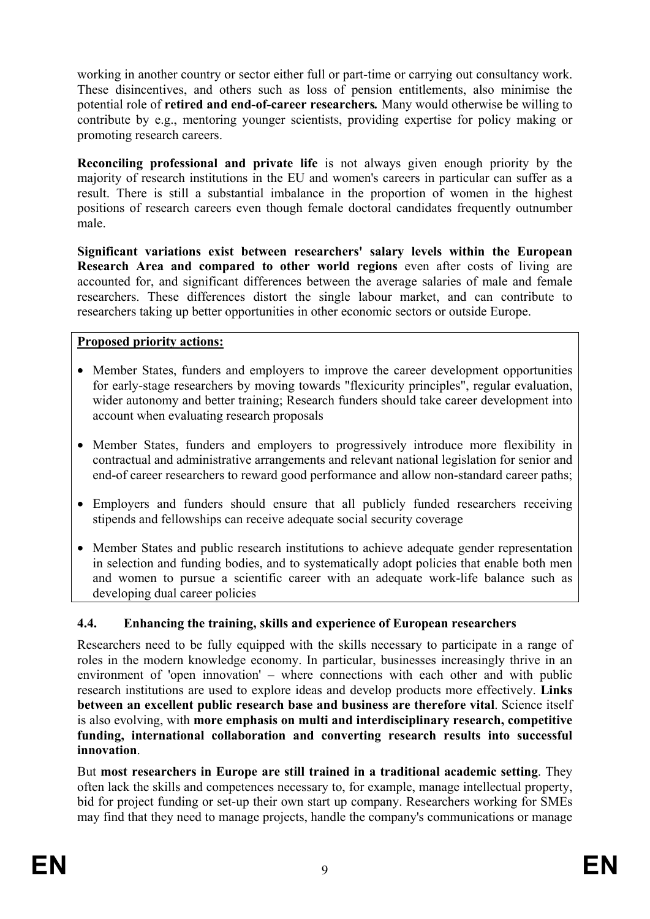working in another country or sector either full or part-time or carrying out consultancy work. These disincentives, and others such as loss of pension entitlements, also minimise the potential role of **retired and end-of-career researchers***.* Many would otherwise be willing to contribute by e.g., mentoring younger scientists, providing expertise for policy making or promoting research careers.

**Reconciling professional and private life** is not always given enough priority by the majority of research institutions in the EU and women's careers in particular can suffer as a result. There is still a substantial imbalance in the proportion of women in the highest positions of research careers even though female doctoral candidates frequently outnumber male.

**Significant variations exist between researchers' salary levels within the European Research Area and compared to other world regions** even after costs of living are accounted for, and significant differences between the average salaries of male and female researchers. These differences distort the single labour market, and can contribute to researchers taking up better opportunities in other economic sectors or outside Europe.

## **Proposed priority actions:**

- Member States, funders and employers to improve the career development opportunities for early-stage researchers by moving towards "flexicurity principles", regular evaluation, wider autonomy and better training; Research funders should take career development into account when evaluating research proposals
- Member States, funders and employers to progressively introduce more flexibility in contractual and administrative arrangements and relevant national legislation for senior and end-of career researchers to reward good performance and allow non-standard career paths;
- Employers and funders should ensure that all publicly funded researchers receiving stipends and fellowships can receive adequate social security coverage
- Member States and public research institutions to achieve adequate gender representation in selection and funding bodies, and to systematically adopt policies that enable both men and women to pursue a scientific career with an adequate work-life balance such as developing dual career policies

## **4.4. Enhancing the training, skills and experience of European researchers**

Researchers need to be fully equipped with the skills necessary to participate in a range of roles in the modern knowledge economy. In particular, businesses increasingly thrive in an environment of 'open innovation' – where connections with each other and with public research institutions are used to explore ideas and develop products more effectively. **Links between an excellent public research base and business are therefore vital**. Science itself is also evolving, with **more emphasis on multi and interdisciplinary research, competitive funding, international collaboration and converting research results into successful innovation**.

But **most researchers in Europe are still trained in a traditional academic setting**. They often lack the skills and competences necessary to, for example, manage intellectual property, bid for project funding or set-up their own start up company. Researchers working for SMEs may find that they need to manage projects, handle the company's communications or manage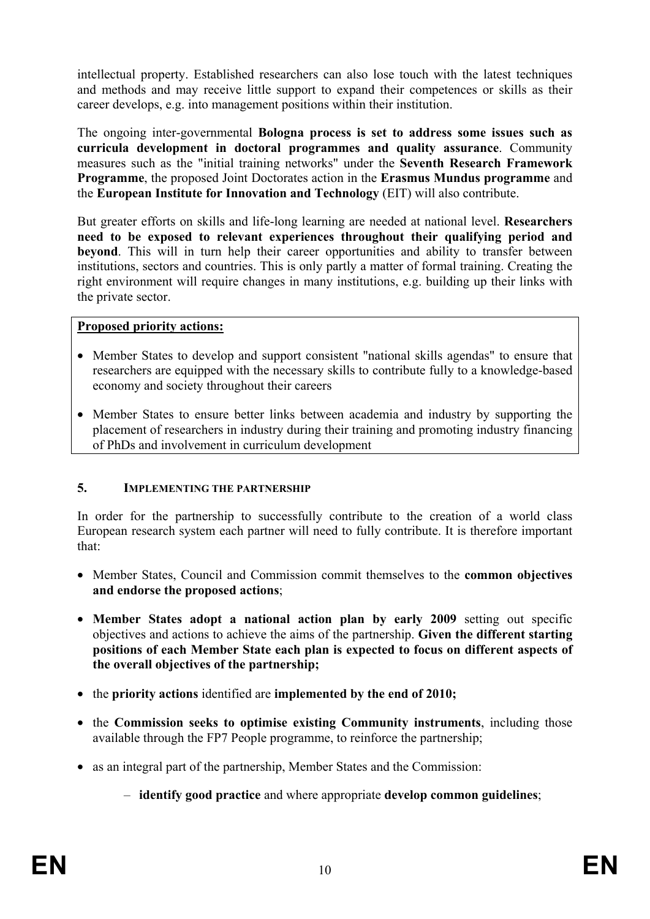intellectual property. Established researchers can also lose touch with the latest techniques and methods and may receive little support to expand their competences or skills as their career develops, e.g. into management positions within their institution.

The ongoing inter-governmental **Bologna process is set to address some issues such as curricula development in doctoral programmes and quality assurance**. Community measures such as the "initial training networks" under the **Seventh Research Framework Programme**, the proposed Joint Doctorates action in the **Erasmus Mundus programme** and the **European Institute for Innovation and Technology** (EIT) will also contribute.

But greater efforts on skills and life-long learning are needed at national level. **Researchers need to be exposed to relevant experiences throughout their qualifying period and beyond**. This will in turn help their career opportunities and ability to transfer between institutions, sectors and countries. This is only partly a matter of formal training. Creating the right environment will require changes in many institutions, e.g. building up their links with the private sector.

#### **Proposed priority actions:**

- Member States to develop and support consistent "national skills agendas" to ensure that researchers are equipped with the necessary skills to contribute fully to a knowledge-based economy and society throughout their careers
- Member States to ensure better links between academia and industry by supporting the placement of researchers in industry during their training and promoting industry financing of PhDs and involvement in curriculum development

## **5. IMPLEMENTING THE PARTNERSHIP**

In order for the partnership to successfully contribute to the creation of a world class European research system each partner will need to fully contribute. It is therefore important that:

- Member States, Council and Commission commit themselves to the **common objectives and endorse the proposed actions**;
- **Member States adopt a national action plan by early 2009** setting out specific objectives and actions to achieve the aims of the partnership. **Given the different starting positions of each Member State each plan is expected to focus on different aspects of the overall objectives of the partnership;**
- the **priority actions** identified are **implemented by the end of 2010;**
- the **Commission seeks to optimise existing Community instruments**, including those available through the FP7 People programme, to reinforce the partnership;
- as an integral part of the partnership, Member States and the Commission:
	- **identify good practice** and where appropriate **develop common guidelines**;